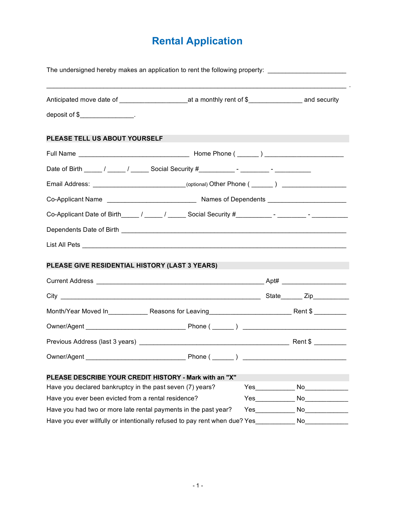## **Rental Application**

| The undersigned hereby makes an application to rent the following property: _______________________             |  |  |  |  |  |  |
|-----------------------------------------------------------------------------------------------------------------|--|--|--|--|--|--|
| Anticipated move date of ___________________________at a monthly rent of \$_______________________ and security |  |  |  |  |  |  |
| deposit of \$_________________.                                                                                 |  |  |  |  |  |  |
| PLEASE TELL US ABOUT YOURSELF                                                                                   |  |  |  |  |  |  |
|                                                                                                                 |  |  |  |  |  |  |
|                                                                                                                 |  |  |  |  |  |  |
| Email Address: _____________________________(optional) Other Phone (______) _______________________             |  |  |  |  |  |  |
|                                                                                                                 |  |  |  |  |  |  |
| Co-Applicant Date of Birth_____ / _____ / ______ Social Security #__________- - ________ - _________            |  |  |  |  |  |  |
|                                                                                                                 |  |  |  |  |  |  |
|                                                                                                                 |  |  |  |  |  |  |
|                                                                                                                 |  |  |  |  |  |  |
| PLEASE GIVE RESIDENTIAL HISTORY (LAST 3 YEARS)                                                                  |  |  |  |  |  |  |
|                                                                                                                 |  |  |  |  |  |  |
|                                                                                                                 |  |  |  |  |  |  |
| Month/Year Moved In______________Reasons for Leaving_____________________________Rent \$ __________             |  |  |  |  |  |  |
|                                                                                                                 |  |  |  |  |  |  |
|                                                                                                                 |  |  |  |  |  |  |
|                                                                                                                 |  |  |  |  |  |  |
| PLEASE DESCRIBE YOUR CREDIT HISTORY - Mark with an "X"                                                          |  |  |  |  |  |  |
| Have you declared bankruptcy in the past seven (7) years?                                                       |  |  |  |  |  |  |
| Have you ever been evicted from a rental residence?                                                             |  |  |  |  |  |  |
| Have you had two or more late rental payments in the past year?                                                 |  |  |  |  |  |  |
| Have you ever willfully or intentionally refused to pay rent when due? Yes__________ No_________                |  |  |  |  |  |  |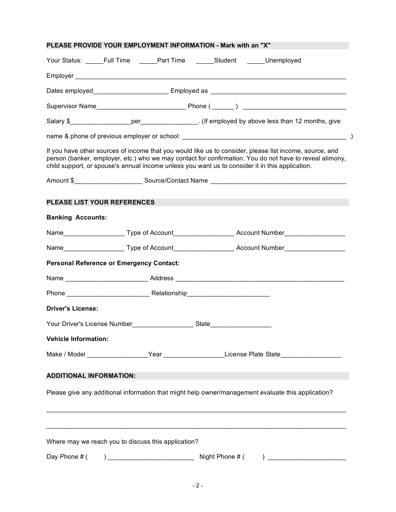| PLEASE PROVIDE YOUR EMPLOYMENT INFORMATION - Mark with an "X"            |  |                                                                                                                                                                                                                                                                                                                       |
|--------------------------------------------------------------------------|--|-----------------------------------------------------------------------------------------------------------------------------------------------------------------------------------------------------------------------------------------------------------------------------------------------------------------------|
| Your Status: _____Full Time _____Part Time ______Student _____Unemployed |  |                                                                                                                                                                                                                                                                                                                       |
|                                                                          |  |                                                                                                                                                                                                                                                                                                                       |
|                                                                          |  |                                                                                                                                                                                                                                                                                                                       |
|                                                                          |  |                                                                                                                                                                                                                                                                                                                       |
|                                                                          |  |                                                                                                                                                                                                                                                                                                                       |
|                                                                          |  |                                                                                                                                                                                                                                                                                                                       |
|                                                                          |  | If you have other sources of income that you would like us to consider, please list income, source, and<br>person (banker, employer, etc.) who we may contact for confirmation. You do not have to reveal alimony,<br>child support, or spouse's annual income unless you want us to consider it in this application. |
|                                                                          |  |                                                                                                                                                                                                                                                                                                                       |
| <b>PLEASE LIST YOUR REFERENCES</b>                                       |  |                                                                                                                                                                                                                                                                                                                       |
| <b>Banking Accounts:</b>                                                 |  |                                                                                                                                                                                                                                                                                                                       |
|                                                                          |  | Name___________________________Type of Account__________________________Account Number_______________________                                                                                                                                                                                                         |
|                                                                          |  | Name___________________________Type of Account___________________________Account Number______________________                                                                                                                                                                                                         |
| <b>Personal Reference or Emergency Contact:</b>                          |  |                                                                                                                                                                                                                                                                                                                       |
|                                                                          |  |                                                                                                                                                                                                                                                                                                                       |
|                                                                          |  |                                                                                                                                                                                                                                                                                                                       |
| <b>Driver's License:</b>                                                 |  |                                                                                                                                                                                                                                                                                                                       |
|                                                                          |  |                                                                                                                                                                                                                                                                                                                       |
| <b>Vehicle Information:</b>                                              |  |                                                                                                                                                                                                                                                                                                                       |
|                                                                          |  | Make / Model ____________________Year ______________________License Plate State____________________                                                                                                                                                                                                                   |
| <b>ADDITIONAL INFORMATION:</b>                                           |  |                                                                                                                                                                                                                                                                                                                       |
|                                                                          |  | Please give any additional information that might help owner/management evaluate this application?                                                                                                                                                                                                                    |
|                                                                          |  |                                                                                                                                                                                                                                                                                                                       |
| Where may we reach you to discuss this application?                      |  |                                                                                                                                                                                                                                                                                                                       |
|                                                                          |  |                                                                                                                                                                                                                                                                                                                       |